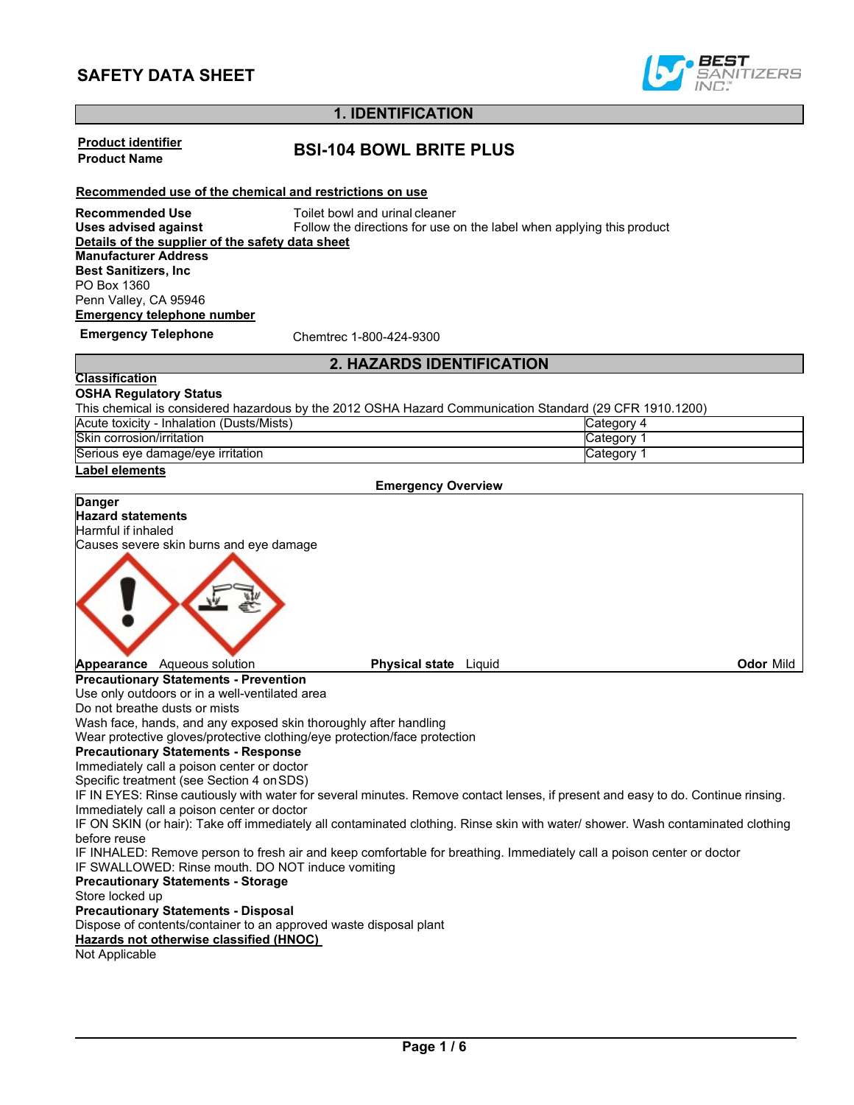## **SAFETY DATA SHEET**



### **1. IDENTIFICATION**

**Product identifier**

# **Product Name BSI-104 BOWL BRITE PLUS**

**Recommended use of the chemical and restrictions on use**

**Recommended Use**<br> **Uses advised against** Follow the directions for use c Follow the directions for use on the label when applying this product **Details of the supplier of the safety data sheet Manufacturer Address Best Sanitizers, Inc** PO Box 1360 Penn Valley, CA 95946 **Emergency telephone number Emergency Telephone** Chemtrec 1-800-424-9300

### **2. HAZARDS IDENTIFICATION**

#### **Classification OSHA Regulatory Status**

This chemical is considered hazardous by the 2012 OSHA Hazard Communication Standard (29 CFR 1910.1200)

| (Dusts/Mists<br>Acute<br>Inhalation<br>toxicity | ″ ategoryٽ |
|-------------------------------------------------|------------|
| <b>Skin</b><br>corrosion/irritation             | ategorٽ .  |
| Serious<br>s eve damage/eve irritation          | ∵ategorس   |

#### **Label elements**

**Emergency Overview**

**Danger Hazard statements**

Harmful if inhaled Causes severe skin burns and eye damage



**Precautionary Statements - Prevention**  Use only outdoors or in a well-ventilated area

Do not breathe dusts or mists

Wash face, hands, and any exposed skin thoroughly after handling

Wear protective gloves/protective clothing/eye protection/face protection

### **Precautionary Statements - Response**

Immediately call a poison center or doctor

Specific treatment (see Section 4 on SDS)

IF IN EYES: Rinse cautiously with water for several minutes. Remove contact lenses, if present and easy to do. Continue rinsing. Immediately call a poison center or doctor

IF ON SKIN (or hair): Take off immediately all contaminated clothing. Rinse skin with water/ shower. Wash contaminated clothing before reuse

IF INHALED: Remove person to fresh air and keep comfortable for breathing. Immediately call a poison center or doctor

IF SWALLOWED: Rinse mouth. DO NOT induce vomiting **Precautionary Statements - Storage** 

### Store locked up

**Precautionary Statements - Disposal**

Dispose of contents/container to an approved waste disposal plant

**Hazards not otherwise classified (HNOC)** 

Not Applicable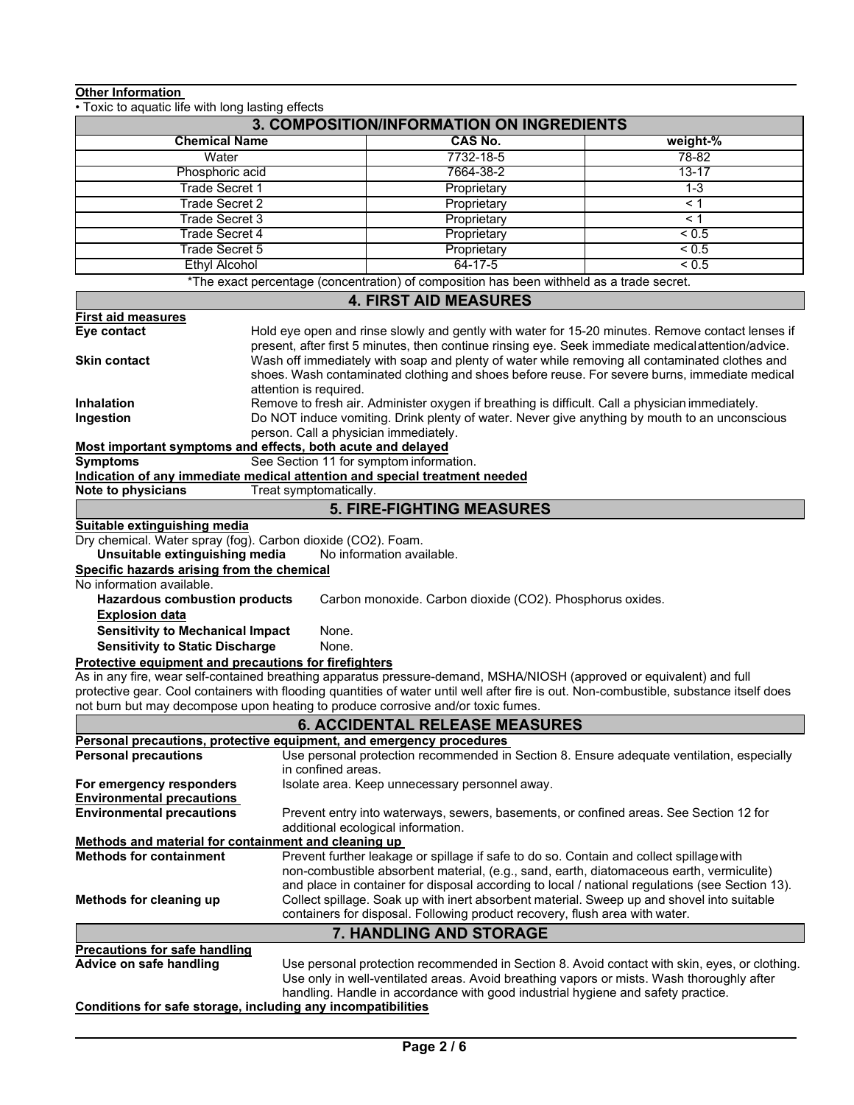| <b>Other Information</b><br>• Toxic to aquatic life with long lasting effects                                         |                                         |                                                                                           |                                                                                                                                         |  |  |  |  |  |  |
|-----------------------------------------------------------------------------------------------------------------------|-----------------------------------------|-------------------------------------------------------------------------------------------|-----------------------------------------------------------------------------------------------------------------------------------------|--|--|--|--|--|--|
|                                                                                                                       |                                         |                                                                                           |                                                                                                                                         |  |  |  |  |  |  |
| 3. COMPOSITION/INFORMATION ON INGREDIENTS<br><b>CAS No.</b>                                                           |                                         |                                                                                           |                                                                                                                                         |  |  |  |  |  |  |
| <b>Chemical Name</b>                                                                                                  |                                         |                                                                                           | weight-%                                                                                                                                |  |  |  |  |  |  |
| Water                                                                                                                 |                                         | 7732-18-5                                                                                 | 78-82                                                                                                                                   |  |  |  |  |  |  |
| Phosphoric acid                                                                                                       |                                         | 7664-38-2                                                                                 | 13-17                                                                                                                                   |  |  |  |  |  |  |
| <b>Trade Secret 1</b>                                                                                                 |                                         | Proprietary                                                                               | $1 - 3$                                                                                                                                 |  |  |  |  |  |  |
| <b>Trade Secret 2</b>                                                                                                 |                                         | Proprietary                                                                               | < 1                                                                                                                                     |  |  |  |  |  |  |
| Trade Secret 3                                                                                                        |                                         | Proprietary                                                                               | < 1                                                                                                                                     |  |  |  |  |  |  |
| < 0.5<br>Trade Secret 4<br>Proprietary                                                                                |                                         |                                                                                           |                                                                                                                                         |  |  |  |  |  |  |
| Trade Secret 5                                                                                                        |                                         | Proprietary                                                                               | < 0.5                                                                                                                                   |  |  |  |  |  |  |
| <b>Ethyl Alcohol</b>                                                                                                  |                                         | $64 - 17 - 5$                                                                             | ${}_{0.5}$                                                                                                                              |  |  |  |  |  |  |
|                                                                                                                       |                                         | *The exact percentage (concentration) of composition has been withheld as a trade secret. |                                                                                                                                         |  |  |  |  |  |  |
|                                                                                                                       |                                         | <b>4. FIRST AID MEASURES</b>                                                              |                                                                                                                                         |  |  |  |  |  |  |
| First aid measures                                                                                                    |                                         |                                                                                           |                                                                                                                                         |  |  |  |  |  |  |
| Eye contact                                                                                                           |                                         |                                                                                           | Hold eye open and rinse slowly and gently with water for 15-20 minutes. Remove contact lenses if                                        |  |  |  |  |  |  |
|                                                                                                                       |                                         |                                                                                           | present, after first 5 minutes, then continue rinsing eye. Seek immediate medical attention/advice.                                     |  |  |  |  |  |  |
| <b>Skin contact</b>                                                                                                   |                                         |                                                                                           | Wash off immediately with soap and plenty of water while removing all contaminated clothes and                                          |  |  |  |  |  |  |
|                                                                                                                       |                                         |                                                                                           | shoes. Wash contaminated clothing and shoes before reuse. For severe burns, immediate medical                                           |  |  |  |  |  |  |
|                                                                                                                       | attention is required.                  |                                                                                           |                                                                                                                                         |  |  |  |  |  |  |
| <b>Inhalation</b>                                                                                                     |                                         |                                                                                           | Remove to fresh air. Administer oxygen if breathing is difficult. Call a physician immediately.                                         |  |  |  |  |  |  |
| Ingestion                                                                                                             |                                         |                                                                                           | Do NOT induce vomiting. Drink plenty of water. Never give anything by mouth to an unconscious                                           |  |  |  |  |  |  |
| Most important symptoms and effects, both acute and delayed                                                           | person. Call a physician immediately.   |                                                                                           |                                                                                                                                         |  |  |  |  |  |  |
| <b>Symptoms</b>                                                                                                       | See Section 11 for symptom information. |                                                                                           |                                                                                                                                         |  |  |  |  |  |  |
| <u>Indication of any immediate medical attention and special treatment needed</u>                                     |                                         |                                                                                           |                                                                                                                                         |  |  |  |  |  |  |
| Note to physicians                                                                                                    | Treat symptomatically.                  |                                                                                           |                                                                                                                                         |  |  |  |  |  |  |
|                                                                                                                       |                                         | <b>5. FIRE-FIGHTING MEASURES</b>                                                          |                                                                                                                                         |  |  |  |  |  |  |
|                                                                                                                       |                                         |                                                                                           |                                                                                                                                         |  |  |  |  |  |  |
| Suitable extinguishing media<br>Dry chemical. Water spray (fog). Carbon dioxide (CO2). Foam.                          |                                         |                                                                                           |                                                                                                                                         |  |  |  |  |  |  |
| Unsuitable extinguishing media                                                                                        |                                         | No information available.                                                                 |                                                                                                                                         |  |  |  |  |  |  |
| Specific hazards arising from the chemical                                                                            |                                         |                                                                                           |                                                                                                                                         |  |  |  |  |  |  |
| No information available.                                                                                             |                                         |                                                                                           |                                                                                                                                         |  |  |  |  |  |  |
| <b>Hazardous combustion products</b>                                                                                  |                                         | Carbon monoxide. Carbon dioxide (CO2). Phosphorus oxides.                                 |                                                                                                                                         |  |  |  |  |  |  |
| <b>Explosion data</b>                                                                                                 |                                         |                                                                                           |                                                                                                                                         |  |  |  |  |  |  |
| <b>Sensitivity to Mechanical Impact</b>                                                                               | None.                                   |                                                                                           |                                                                                                                                         |  |  |  |  |  |  |
| <b>Sensitivity to Static Discharge</b>                                                                                | None.                                   |                                                                                           |                                                                                                                                         |  |  |  |  |  |  |
| Protective equipment and precautions for firefighters                                                                 |                                         |                                                                                           |                                                                                                                                         |  |  |  |  |  |  |
| As in any fire, wear self-contained breathing apparatus pressure-demand, MSHA/NIOSH (approved or equivalent) and full |                                         |                                                                                           |                                                                                                                                         |  |  |  |  |  |  |
|                                                                                                                       |                                         |                                                                                           | protective gear. Cool containers with flooding quantities of water until well after fire is out. Non-combustible, substance itself does |  |  |  |  |  |  |
| not burn but may decompose upon heating to produce corrosive and/or toxic fumes.                                      |                                         |                                                                                           |                                                                                                                                         |  |  |  |  |  |  |
|                                                                                                                       |                                         | <b>6. ACCIDENTAL RELEASE MEASURES</b>                                                     |                                                                                                                                         |  |  |  |  |  |  |
| Personal precautions, protective equipment, and emergency procedures                                                  |                                         |                                                                                           |                                                                                                                                         |  |  |  |  |  |  |
| <b>Personal precautions</b>                                                                                           |                                         |                                                                                           | Use personal protection recommended in Section 8. Ensure adequate ventilation, especially                                               |  |  |  |  |  |  |
|                                                                                                                       | in confined areas.                      |                                                                                           |                                                                                                                                         |  |  |  |  |  |  |
| For emergency responders                                                                                              |                                         | Isolate area. Keep unnecessary personnel away.                                            |                                                                                                                                         |  |  |  |  |  |  |
| <b>Environmental precautions</b>                                                                                      |                                         |                                                                                           |                                                                                                                                         |  |  |  |  |  |  |
| <b>Environmental precautions</b>                                                                                      |                                         |                                                                                           | Prevent entry into waterways, sewers, basements, or confined areas. See Section 12 for                                                  |  |  |  |  |  |  |
|                                                                                                                       | additional ecological information.      |                                                                                           |                                                                                                                                         |  |  |  |  |  |  |
| Methods and material for containment and cleaning up                                                                  |                                         |                                                                                           |                                                                                                                                         |  |  |  |  |  |  |
| <b>Methods for containment</b>                                                                                        |                                         | Prevent further leakage or spillage if safe to do so. Contain and collect spillage with   |                                                                                                                                         |  |  |  |  |  |  |
|                                                                                                                       |                                         |                                                                                           | non-combustible absorbent material, (e.g., sand, earth, diatomaceous earth, vermiculite)                                                |  |  |  |  |  |  |
|                                                                                                                       |                                         |                                                                                           | and place in container for disposal according to local / national regulations (see Section 13).                                         |  |  |  |  |  |  |
| Methods for cleaning up                                                                                               |                                         |                                                                                           | Collect spillage. Soak up with inert absorbent material. Sweep up and shovel into suitable                                              |  |  |  |  |  |  |
| containers for disposal. Following product recovery, flush area with water.                                           |                                         |                                                                                           |                                                                                                                                         |  |  |  |  |  |  |
| 7. HANDLING AND STORAGE                                                                                               |                                         |                                                                                           |                                                                                                                                         |  |  |  |  |  |  |
| <b>Precautions for safe handling</b>                                                                                  |                                         |                                                                                           |                                                                                                                                         |  |  |  |  |  |  |
| Advice on safe handling                                                                                               |                                         |                                                                                           | Use personal protection recommended in Section 8. Avoid contact with skin, eyes, or clothing.                                           |  |  |  |  |  |  |
|                                                                                                                       |                                         |                                                                                           | Use only in well-ventilated areas. Avoid breathing vapors or mists. Wash thoroughly after                                               |  |  |  |  |  |  |
|                                                                                                                       |                                         | handling. Handle in accordance with good industrial hygiene and safety practice.          |                                                                                                                                         |  |  |  |  |  |  |
| Conditions for safe storage, including any incompatibilities                                                          |                                         |                                                                                           |                                                                                                                                         |  |  |  |  |  |  |
|                                                                                                                       |                                         |                                                                                           |                                                                                                                                         |  |  |  |  |  |  |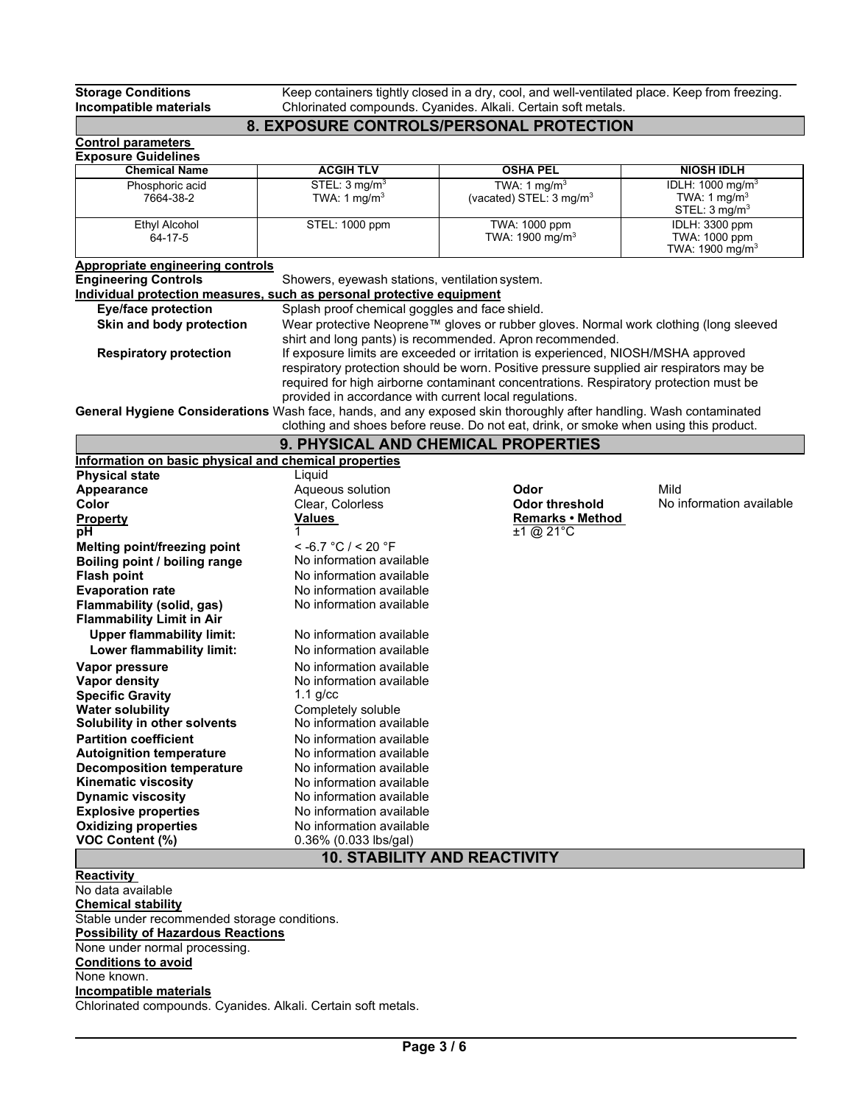**Storage Conditions** Keep containers tightly closed in a dry, cool, and well-ventilated place. Keep from freezing.<br>Incompatible materials Chlorinated compounds. Cyanides. Alkali. Certain soft metals. **Incompatible materials** Chlorinated compounds. Cyanides. Alkali. Certain soft metals.

### **8. EXPOSURE CONTROLS/PERSONAL PROTECTION**

| <b>Control parameters</b>                                             |                                                        |                                                                                                                    |                                                         |  |  |  |  |  |
|-----------------------------------------------------------------------|--------------------------------------------------------|--------------------------------------------------------------------------------------------------------------------|---------------------------------------------------------|--|--|--|--|--|
| <b>Exposure Guidelines</b>                                            |                                                        |                                                                                                                    |                                                         |  |  |  |  |  |
| <b>Chemical Name</b>                                                  | <b>ACGIH TLV</b>                                       | <b>OSHA PEL</b>                                                                                                    | <b>NIOSH IDLH</b>                                       |  |  |  |  |  |
| Phosphoric acid<br>7664-38-2                                          | STEL: $3 \text{ mg/m}^3$<br>TWA: 1 mg/ $m3$            | TWA: $1 \text{ mg/m}^3$<br>(vacated) STEL: 3 mg/m <sup>3</sup>                                                     | IDLH: 1000 mg/m <sup>3</sup><br>TWA: $1 \text{ mg/m}^3$ |  |  |  |  |  |
|                                                                       |                                                        |                                                                                                                    | STEL: $3 \text{ mg/m}^3$                                |  |  |  |  |  |
| <b>Ethyl Alcohol</b><br>64-17-5                                       | STEL: 1000 ppm                                         | TWA: 1000 ppm<br>TWA: 1900 mg/m <sup>3</sup>                                                                       | IDLH: 3300 ppm<br>TWA: 1000 ppm                         |  |  |  |  |  |
|                                                                       |                                                        |                                                                                                                    | TWA: 1900 mg/m <sup>3</sup>                             |  |  |  |  |  |
| <b>Appropriate engineering controls</b>                               |                                                        |                                                                                                                    |                                                         |  |  |  |  |  |
| <b>Engineering Controls</b>                                           | Showers, eyewash stations, ventilation system.         |                                                                                                                    |                                                         |  |  |  |  |  |
| Individual protection measures, such as personal protective equipment |                                                        |                                                                                                                    |                                                         |  |  |  |  |  |
| <b>Eye/face protection</b>                                            | Splash proof chemical goggles and face shield.         |                                                                                                                    |                                                         |  |  |  |  |  |
| Skin and body protection                                              |                                                        | Wear protective Neoprene™ gloves or rubber gloves. Normal work clothing (long sleeved                              |                                                         |  |  |  |  |  |
|                                                                       |                                                        | shirt and long pants) is recommended. Apron recommended.                                                           |                                                         |  |  |  |  |  |
| <b>Respiratory protection</b>                                         |                                                        | If exposure limits are exceeded or irritation is experienced, NIOSH/MSHA approved                                  |                                                         |  |  |  |  |  |
|                                                                       |                                                        | respiratory protection should be worn. Positive pressure supplied air respirators may be                           |                                                         |  |  |  |  |  |
|                                                                       |                                                        | required for high airborne contaminant concentrations. Respiratory protection must be                              |                                                         |  |  |  |  |  |
|                                                                       | provided in accordance with current local regulations. |                                                                                                                    |                                                         |  |  |  |  |  |
|                                                                       |                                                        | General Hygiene Considerations Wash face, hands, and any exposed skin thoroughly after handling. Wash contaminated |                                                         |  |  |  |  |  |
|                                                                       |                                                        | clothing and shoes before reuse. Do not eat, drink, or smoke when using this product.                              |                                                         |  |  |  |  |  |
|                                                                       |                                                        | 9. PHYSICAL AND CHEMICAL PROPERTIES                                                                                |                                                         |  |  |  |  |  |
| Information on basic physical and chemical properties                 |                                                        |                                                                                                                    |                                                         |  |  |  |  |  |
| <b>Physical state</b>                                                 | Liquid                                                 |                                                                                                                    |                                                         |  |  |  |  |  |
| Appearance                                                            | Aqueous solution                                       | Odor                                                                                                               | Mild                                                    |  |  |  |  |  |
| Color                                                                 | Clear, Colorless                                       | Odor threshold                                                                                                     | No information available                                |  |  |  |  |  |
| <b>Property</b>                                                       | Values                                                 | Remarks • Method                                                                                                   |                                                         |  |  |  |  |  |
| рH                                                                    |                                                        | $\overline{\pm 1}$ @ 21°C                                                                                          |                                                         |  |  |  |  |  |
| Melting point/freezing point                                          | $<$ -6.7 °C / < 20 °F                                  |                                                                                                                    |                                                         |  |  |  |  |  |
| Boiling point / boiling range                                         | No information available                               |                                                                                                                    |                                                         |  |  |  |  |  |
| <b>Flash point</b>                                                    | No information available                               |                                                                                                                    |                                                         |  |  |  |  |  |
| <b>Evaporation rate</b>                                               | No information available                               |                                                                                                                    |                                                         |  |  |  |  |  |
| Flammability (solid, gas)                                             | No information available                               |                                                                                                                    |                                                         |  |  |  |  |  |
| <b>Flammability Limit in Air</b>                                      |                                                        |                                                                                                                    |                                                         |  |  |  |  |  |
| <b>Upper flammability limit:</b>                                      | No information available                               |                                                                                                                    |                                                         |  |  |  |  |  |
| Lower flammability limit:                                             | No information available                               |                                                                                                                    |                                                         |  |  |  |  |  |
| Vapor pressure                                                        | No information available                               |                                                                                                                    |                                                         |  |  |  |  |  |
| <b>Vapor density</b>                                                  | No information available                               |                                                                                                                    |                                                         |  |  |  |  |  |
| <b>Specific Gravity</b>                                               | 1.1 $q/cc$                                             |                                                                                                                    |                                                         |  |  |  |  |  |
| <b>Water solubility</b>                                               | Completely soluble                                     |                                                                                                                    |                                                         |  |  |  |  |  |
| Solubility in other solvents                                          | No information available                               |                                                                                                                    |                                                         |  |  |  |  |  |
| <b>Partition coefficient</b>                                          | No information available                               |                                                                                                                    |                                                         |  |  |  |  |  |
| <b>Autoignition temperature</b>                                       | No information available                               |                                                                                                                    |                                                         |  |  |  |  |  |
| Decomposition temperature                                             | No information available                               |                                                                                                                    |                                                         |  |  |  |  |  |
| <b>Kinematic viscosity</b>                                            | No information available                               |                                                                                                                    |                                                         |  |  |  |  |  |
| <b>Dynamic viscosity</b>                                              | No information available                               |                                                                                                                    |                                                         |  |  |  |  |  |
| <b>Explosive properties</b>                                           | No information available                               |                                                                                                                    |                                                         |  |  |  |  |  |
| <b>Oxidizing properties</b>                                           | No information available                               |                                                                                                                    |                                                         |  |  |  |  |  |
| VOC Content (%)                                                       | 0.36% (0.033 lbs/gal)                                  |                                                                                                                    |                                                         |  |  |  |  |  |
| <b>10. STABILITY AND REACTIVITY</b>                                   |                                                        |                                                                                                                    |                                                         |  |  |  |  |  |
| للافاء واللقو                                                         |                                                        |                                                                                                                    |                                                         |  |  |  |  |  |

**Reactivity** 

No data available **Chemical stability** Stable under recommended storage conditions. **Possibility of Hazardous Reactions** None under normal processing. **Conditions to avoid** None known. **Incompatible materials**

Chlorinated compounds. Cyanides. Alkali. Certain soft metals.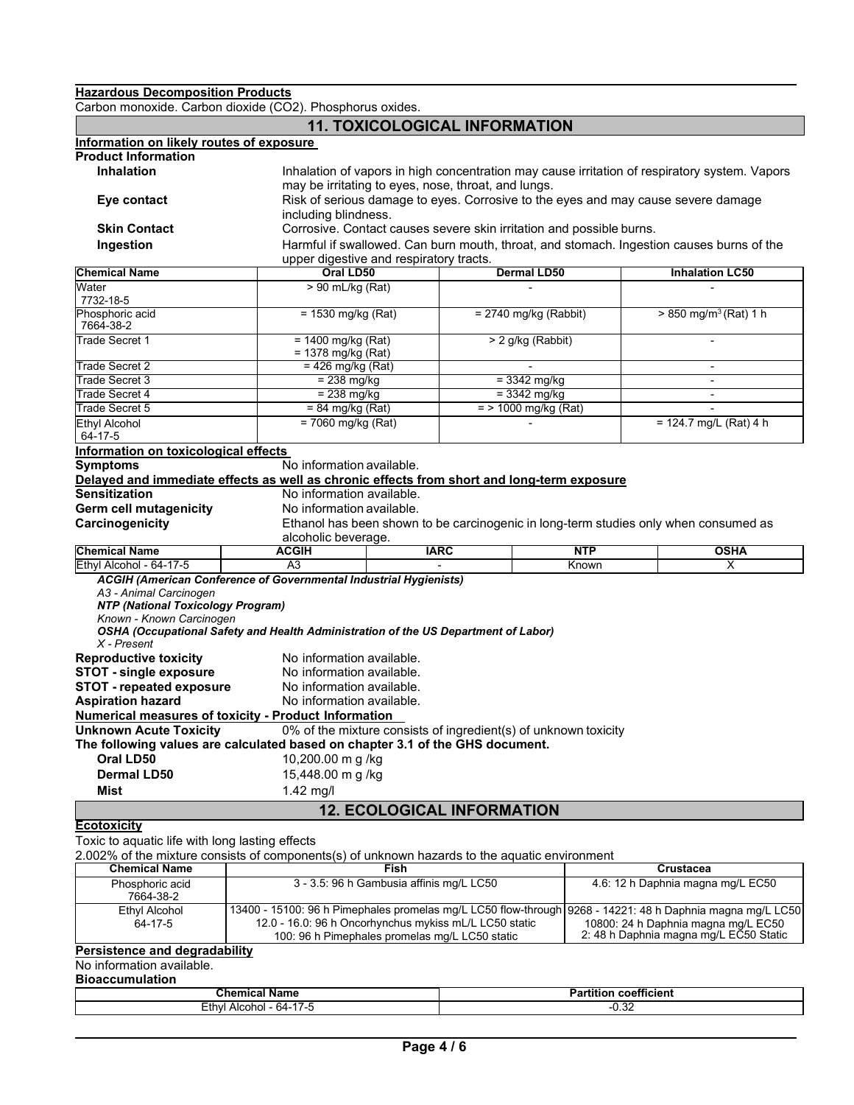**Hazardous Decomposition Products**<br>Carbon monoxide. Carbon dioxide (CO2)

# **11. TOXICOLOGICAL INFORMATION**

٦

|                                                 |                                                                                                           |                                                                                          | <u>I I. TUAICULUGICAL INFURIMATIUN</u> |                |                              |                                                                                      |  |  |
|-------------------------------------------------|-----------------------------------------------------------------------------------------------------------|------------------------------------------------------------------------------------------|----------------------------------------|----------------|------------------------------|--------------------------------------------------------------------------------------|--|--|
| Information on likely routes of exposure        |                                                                                                           |                                                                                          |                                        |                |                              |                                                                                      |  |  |
| <b>Product Information</b>                      |                                                                                                           |                                                                                          |                                        |                |                              |                                                                                      |  |  |
| <b>Inhalation</b>                               | Inhalation of vapors in high concentration may cause irritation of respiratory system. Vapors             |                                                                                          |                                        |                |                              |                                                                                      |  |  |
|                                                 |                                                                                                           | may be irritating to eyes, nose, throat, and lungs.                                      |                                        |                |                              |                                                                                      |  |  |
| Eye contact                                     |                                                                                                           | Risk of serious damage to eyes. Corrosive to the eyes and may cause severe damage        |                                        |                |                              |                                                                                      |  |  |
|                                                 | including blindness.                                                                                      |                                                                                          |                                        |                |                              |                                                                                      |  |  |
| <b>Skin Contact</b>                             |                                                                                                           | Corrosive. Contact causes severe skin irritation and possible burns.                     |                                        |                |                              |                                                                                      |  |  |
| Ingestion                                       |                                                                                                           | Harmful if swallowed. Can burn mouth, throat, and stomach. Ingestion causes burns of the |                                        |                |                              |                                                                                      |  |  |
|                                                 |                                                                                                           |                                                                                          |                                        |                |                              |                                                                                      |  |  |
| <b>Chemical Name</b>                            |                                                                                                           | upper digestive and respiratory tracts.                                                  |                                        |                |                              |                                                                                      |  |  |
| Water                                           |                                                                                                           | Oral LD50<br><b>Dermal LD50</b><br><b>Inhalation LC50</b><br>$> 90$ mL/kg (Rat)          |                                        |                |                              |                                                                                      |  |  |
| 7732-18-5                                       |                                                                                                           |                                                                                          |                                        |                |                              |                                                                                      |  |  |
| Phosphoric acid                                 | $= 1530$ mg/kg (Rat)                                                                                      |                                                                                          | $= 2740$ mg/kg (Rabbit)                |                |                              | $> 850$ mg/m <sup>3</sup> (Rat) 1 h                                                  |  |  |
| 7664-38-2                                       |                                                                                                           |                                                                                          |                                        |                |                              |                                                                                      |  |  |
| Trade Secret 1                                  | $= 1400$ mg/kg (Rat)                                                                                      |                                                                                          | > 2 g/kg (Rabbit)                      |                |                              |                                                                                      |  |  |
|                                                 | = 1378 mg/kg (Rat)                                                                                        |                                                                                          |                                        |                |                              |                                                                                      |  |  |
| Trade Secret 2                                  | $= 426$ mg/kg (Rat)                                                                                       |                                                                                          |                                        |                |                              | $\overline{\phantom{a}}$                                                             |  |  |
| Trade Secret 3                                  | $= 238$ mg/kg                                                                                             |                                                                                          |                                        | $= 3342$ mg/kg |                              | $\overline{\phantom{a}}$                                                             |  |  |
| Trade Secret 4                                  | $= 238$ mg/kg                                                                                             |                                                                                          |                                        | $= 3342$ mg/kg |                              | $\overline{\phantom{a}}$                                                             |  |  |
| Trade Secret 5                                  | $= 84$ mg/kg (Rat)                                                                                        |                                                                                          | $=$ > 1000 mg/kg (Rat)                 |                |                              |                                                                                      |  |  |
|                                                 | $= 7060$ mg/kg (Rat)                                                                                      |                                                                                          |                                        |                |                              | $= 124.7$ mg/L (Rat) 4 h                                                             |  |  |
| <b>Ethyl Alcohol</b><br>64-17-5                 |                                                                                                           |                                                                                          |                                        |                |                              |                                                                                      |  |  |
|                                                 |                                                                                                           |                                                                                          |                                        |                |                              |                                                                                      |  |  |
| Information on toxicological effects            |                                                                                                           |                                                                                          |                                        |                |                              |                                                                                      |  |  |
| <b>Symptoms</b>                                 | No information available.                                                                                 |                                                                                          |                                        |                |                              |                                                                                      |  |  |
|                                                 | Delayed and immediate effects as well as chronic effects from short and long-term exposure                |                                                                                          |                                        |                |                              |                                                                                      |  |  |
| <b>Sensitization</b>                            | No information available.                                                                                 |                                                                                          |                                        |                |                              |                                                                                      |  |  |
| Germ cell mutagenicity                          | No information available.                                                                                 |                                                                                          |                                        |                |                              |                                                                                      |  |  |
| Carcinogenicity                                 |                                                                                                           |                                                                                          |                                        |                |                              | Ethanol has been shown to be carcinogenic in long-term studies only when consumed as |  |  |
|                                                 | alcoholic beverage.                                                                                       |                                                                                          |                                        |                |                              |                                                                                      |  |  |
| <b>Chemical Name</b>                            | <b>ACGIH</b>                                                                                              |                                                                                          | <b>IARC</b>                            |                | <b>NTP</b>                   | <b>OSHA</b>                                                                          |  |  |
| Ethyl Alcohol - 64-17-5                         | A <sub>3</sub>                                                                                            |                                                                                          |                                        |                | Known                        | X                                                                                    |  |  |
|                                                 | <b>ACGIH (American Conference of Governmental Industrial Hygienists)</b>                                  |                                                                                          |                                        |                |                              |                                                                                      |  |  |
| A3 - Animal Carcinogen                          |                                                                                                           |                                                                                          |                                        |                |                              |                                                                                      |  |  |
| <b>NTP (National Toxicology Program)</b>        |                                                                                                           |                                                                                          |                                        |                |                              |                                                                                      |  |  |
| Known - Known Carcinogen                        |                                                                                                           |                                                                                          |                                        |                |                              |                                                                                      |  |  |
|                                                 | OSHA (Occupational Safety and Health Administration of the US Department of Labor)                        |                                                                                          |                                        |                |                              |                                                                                      |  |  |
| $X$ - Present                                   |                                                                                                           |                                                                                          |                                        |                |                              |                                                                                      |  |  |
| <b>Reproductive toxicity</b>                    | No information available.                                                                                 |                                                                                          |                                        |                |                              |                                                                                      |  |  |
| <b>STOT - single exposure</b>                   | No information available.                                                                                 |                                                                                          |                                        |                |                              |                                                                                      |  |  |
| <b>STOT - repeated exposure</b>                 |                                                                                                           | No information available.                                                                |                                        |                |                              |                                                                                      |  |  |
| <b>Aspiration hazard</b>                        | No information available.                                                                                 |                                                                                          |                                        |                |                              |                                                                                      |  |  |
|                                                 | <b>Numerical measures of toxicity - Product Information</b>                                               |                                                                                          |                                        |                |                              |                                                                                      |  |  |
| <b>Unknown Acute Toxicity</b>                   | 0% of the mixture consists of ingredient(s) of unknown toxicity                                           |                                                                                          |                                        |                |                              |                                                                                      |  |  |
|                                                 | The following values are calculated based on chapter 3.1 of the GHS document.                             |                                                                                          |                                        |                |                              |                                                                                      |  |  |
| Oral LD50                                       | 10,200.00 m g /kg                                                                                         |                                                                                          |                                        |                |                              |                                                                                      |  |  |
|                                                 |                                                                                                           |                                                                                          |                                        |                |                              |                                                                                      |  |  |
| <b>Dermal LD50</b>                              | 15,448.00 m g /kg                                                                                         |                                                                                          |                                        |                |                              |                                                                                      |  |  |
| Mist                                            | $1.42$ mg/l                                                                                               |                                                                                          |                                        |                |                              |                                                                                      |  |  |
|                                                 |                                                                                                           |                                                                                          | <b>12. ECOLOGICAL INFORMATION</b>      |                |                              |                                                                                      |  |  |
| <b>Ecotoxicity</b>                              |                                                                                                           |                                                                                          |                                        |                |                              |                                                                                      |  |  |
| Toxic to aquatic life with long lasting effects |                                                                                                           |                                                                                          |                                        |                |                              |                                                                                      |  |  |
|                                                 | 2.002% of the mixture consists of components(s) of unknown hazards to the aquatic environment             |                                                                                          |                                        |                |                              |                                                                                      |  |  |
| <b>Chemical Name</b>                            |                                                                                                           |                                                                                          |                                        |                |                              |                                                                                      |  |  |
|                                                 | <b>Crustacea</b><br>Fish<br>3 - 3.5: 96 h Gambusia affinis mg/L LC50<br>4.6: 12 h Daphnia magna mg/L EC50 |                                                                                          |                                        |                |                              |                                                                                      |  |  |
| Phosphoric acid                                 |                                                                                                           |                                                                                          |                                        |                |                              |                                                                                      |  |  |
| 7664-38-2                                       | 13400 - 15100: 96 h Pimephales promelas mg/L LC50 flow-through                                            |                                                                                          |                                        |                |                              |                                                                                      |  |  |
| <b>Ethyl Alcohol</b>                            |                                                                                                           |                                                                                          |                                        |                |                              | 9268 - 14221: 48 h Daphnia magna mg/L LC50                                           |  |  |
| 64-17-5                                         | 12.0 - 16.0: 96 h Oncorhynchus mykiss mL/L LC50 static                                                    |                                                                                          |                                        |                |                              | 10800: 24 h Daphnia magna mg/L EC50<br>2: 48 h Daphnia magna mg/L EC50 Static        |  |  |
|                                                 | 100: 96 h Pimephales promelas mg/L LC50 static                                                            |                                                                                          |                                        |                |                              |                                                                                      |  |  |
| Persistence and degradability                   |                                                                                                           |                                                                                          |                                        |                |                              |                                                                                      |  |  |
| No information available.                       |                                                                                                           |                                                                                          |                                        |                |                              |                                                                                      |  |  |
| <b>Bioaccumulation</b>                          |                                                                                                           |                                                                                          |                                        |                |                              |                                                                                      |  |  |
|                                                 | <b>Chemical Name</b>                                                                                      |                                                                                          |                                        |                | <b>Partition coefficient</b> |                                                                                      |  |  |
|                                                 | Ethyl Alcohol - 64-17-5                                                                                   |                                                                                          |                                        |                | $-0.32$                      |                                                                                      |  |  |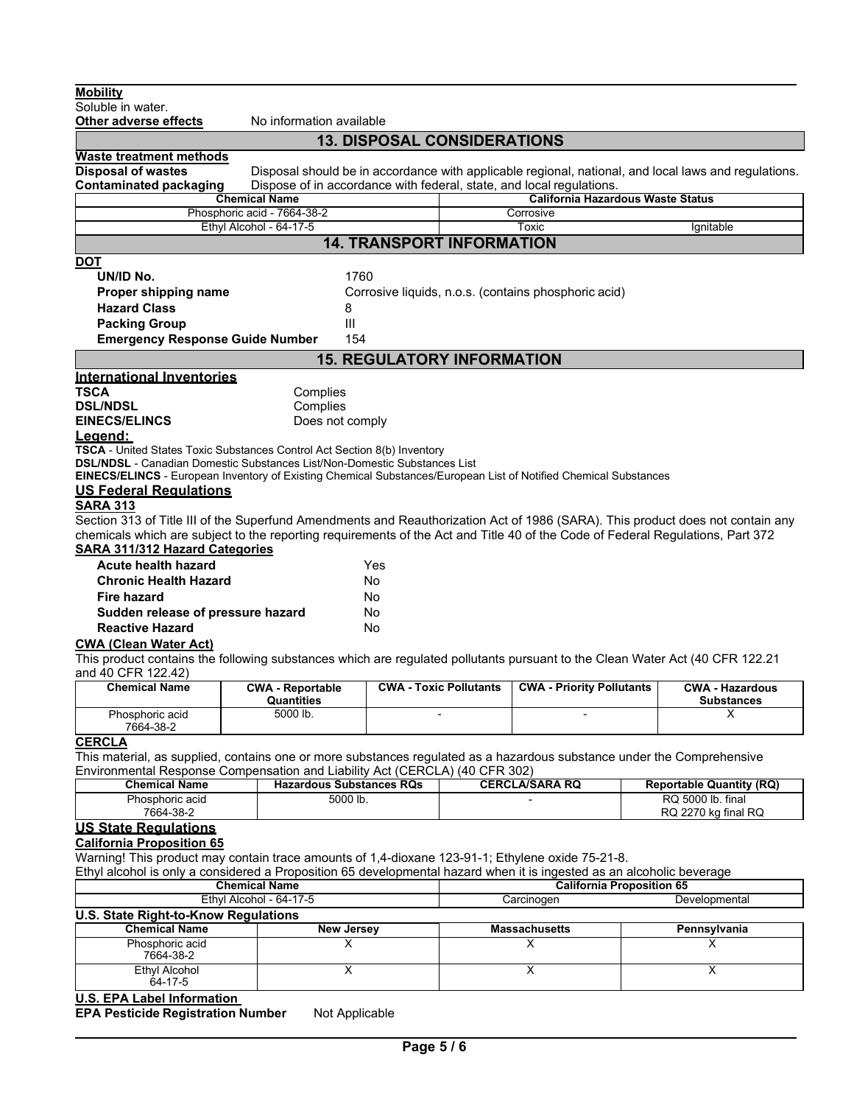| <b>Mobility</b>                                                                                                                                                                                       |                                                                                                                                                                           |                                       |                                    |                               |                                                      |  |                                                                                                      |  |  |
|-------------------------------------------------------------------------------------------------------------------------------------------------------------------------------------------------------|---------------------------------------------------------------------------------------------------------------------------------------------------------------------------|---------------------------------------|------------------------------------|-------------------------------|------------------------------------------------------|--|------------------------------------------------------------------------------------------------------|--|--|
| Soluble in water.<br><b>Other adverse effects</b>                                                                                                                                                     |                                                                                                                                                                           | No information available              |                                    |                               |                                                      |  |                                                                                                      |  |  |
|                                                                                                                                                                                                       |                                                                                                                                                                           |                                       | <b>13. DISPOSAL CONSIDERATIONS</b> |                               |                                                      |  |                                                                                                      |  |  |
| <b>Waste treatment methods</b>                                                                                                                                                                        |                                                                                                                                                                           |                                       |                                    |                               |                                                      |  |                                                                                                      |  |  |
| <b>Disposal of wastes</b>                                                                                                                                                                             |                                                                                                                                                                           |                                       |                                    |                               |                                                      |  | Disposal should be in accordance with applicable regional, national, and local laws and regulations. |  |  |
|                                                                                                                                                                                                       | <b>Contaminated packaging</b><br>Dispose of in accordance with federal, state, and local regulations.<br><b>California Hazardous Waste Status</b><br><b>Chemical Name</b> |                                       |                                    |                               |                                                      |  |                                                                                                      |  |  |
|                                                                                                                                                                                                       | Phosphoric acid - 7664-38-2<br>Corrosive                                                                                                                                  |                                       |                                    |                               |                                                      |  |                                                                                                      |  |  |
|                                                                                                                                                                                                       | Ethyl Alcohol - 64-17-5<br>Toxic<br>Ignitable                                                                                                                             |                                       |                                    |                               |                                                      |  |                                                                                                      |  |  |
|                                                                                                                                                                                                       |                                                                                                                                                                           |                                       | <b>14. TRANSPORT INFORMATION</b>   |                               |                                                      |  |                                                                                                      |  |  |
| <b>DOT</b>                                                                                                                                                                                            |                                                                                                                                                                           |                                       |                                    |                               |                                                      |  |                                                                                                      |  |  |
| UN/ID No.                                                                                                                                                                                             |                                                                                                                                                                           | 1760                                  |                                    |                               |                                                      |  |                                                                                                      |  |  |
| Proper shipping name                                                                                                                                                                                  |                                                                                                                                                                           |                                       |                                    |                               | Corrosive liquids, n.o.s. (contains phosphoric acid) |  |                                                                                                      |  |  |
| <b>Hazard Class</b>                                                                                                                                                                                   |                                                                                                                                                                           | 8                                     |                                    |                               |                                                      |  |                                                                                                      |  |  |
| <b>Packing Group</b>                                                                                                                                                                                  |                                                                                                                                                                           | III                                   |                                    |                               |                                                      |  |                                                                                                      |  |  |
| <b>Emergency Response Guide Number</b>                                                                                                                                                                |                                                                                                                                                                           | 154                                   |                                    |                               |                                                      |  |                                                                                                      |  |  |
|                                                                                                                                                                                                       |                                                                                                                                                                           |                                       | <b>15. REGULATORY INFORMATION</b>  |                               |                                                      |  |                                                                                                      |  |  |
| <b>International Inventories</b><br><b>TSCA</b>                                                                                                                                                       |                                                                                                                                                                           |                                       |                                    |                               |                                                      |  |                                                                                                      |  |  |
| <b>DSL/NDSL</b>                                                                                                                                                                                       |                                                                                                                                                                           | Complies<br>Complies                  |                                    |                               |                                                      |  |                                                                                                      |  |  |
| <b>EINECS/ELINCS</b>                                                                                                                                                                                  |                                                                                                                                                                           | Does not comply                       |                                    |                               |                                                      |  |                                                                                                      |  |  |
| Leaend:                                                                                                                                                                                               |                                                                                                                                                                           |                                       |                                    |                               |                                                      |  |                                                                                                      |  |  |
| TSCA - United States Toxic Substances Control Act Section 8(b) Inventory<br><b>DSL/NDSL</b> - Canadian Domestic Substances List/Non-Domestic Substances List                                          |                                                                                                                                                                           |                                       |                                    |                               |                                                      |  |                                                                                                      |  |  |
| EINECS/ELINCS - European Inventory of Existing Chemical Substances/European List of Notified Chemical Substances                                                                                      |                                                                                                                                                                           |                                       |                                    |                               |                                                      |  |                                                                                                      |  |  |
| <b>US Federal Regulations</b><br><b>SARA 313</b>                                                                                                                                                      |                                                                                                                                                                           |                                       |                                    |                               |                                                      |  |                                                                                                      |  |  |
| Section 313 of Title III of the Superfund Amendments and Reauthorization Act of 1986 (SARA). This product does not contain any                                                                        |                                                                                                                                                                           |                                       |                                    |                               |                                                      |  |                                                                                                      |  |  |
| chemicals which are subject to the reporting requirements of the Act and Title 40 of the Code of Federal Regulations, Part 372                                                                        |                                                                                                                                                                           |                                       |                                    |                               |                                                      |  |                                                                                                      |  |  |
| <b>SARA 311/312 Hazard Categories</b>                                                                                                                                                                 |                                                                                                                                                                           |                                       |                                    |                               |                                                      |  |                                                                                                      |  |  |
| <b>Acute health hazard</b>                                                                                                                                                                            |                                                                                                                                                                           |                                       | Yes                                |                               |                                                      |  |                                                                                                      |  |  |
| <b>Chronic Health Hazard</b>                                                                                                                                                                          |                                                                                                                                                                           |                                       | No                                 |                               |                                                      |  |                                                                                                      |  |  |
| <b>Fire hazard</b>                                                                                                                                                                                    |                                                                                                                                                                           |                                       | No.                                |                               |                                                      |  |                                                                                                      |  |  |
| Sudden release of pressure hazard<br><b>Reactive Hazard</b>                                                                                                                                           |                                                                                                                                                                           |                                       | No<br>No                           |                               |                                                      |  |                                                                                                      |  |  |
| <b>CWA (Clean Water Act)</b>                                                                                                                                                                          |                                                                                                                                                                           |                                       |                                    |                               |                                                      |  |                                                                                                      |  |  |
| This product contains the following substances which are regulated pollutants pursuant to the Clean Water Act (40 CFR 122.21                                                                          |                                                                                                                                                                           |                                       |                                    |                               |                                                      |  |                                                                                                      |  |  |
| and 40 CFR 122.42)                                                                                                                                                                                    |                                                                                                                                                                           |                                       |                                    |                               |                                                      |  |                                                                                                      |  |  |
| <b>Chemical Name</b>                                                                                                                                                                                  |                                                                                                                                                                           | <b>CWA - Reportable</b><br>Quantities |                                    | <b>CWA - Toxic Pollutants</b> | <b>CWA - Priority Pollutants</b>                     |  | <b>CWA - Hazardous</b><br><b>Substances</b>                                                          |  |  |
| Phosphoric acid                                                                                                                                                                                       |                                                                                                                                                                           | 5000 lb.                              |                                    |                               |                                                      |  | X                                                                                                    |  |  |
| 7664-38-2                                                                                                                                                                                             |                                                                                                                                                                           |                                       |                                    |                               |                                                      |  |                                                                                                      |  |  |
| <b>CERCLA</b>                                                                                                                                                                                         |                                                                                                                                                                           |                                       |                                    |                               |                                                      |  |                                                                                                      |  |  |
| This material, as supplied, contains one or more substances regulated as a hazardous substance under the Comprehensive<br>Environmental Response Compensation and Liability Act (CERCLA) (40 CFR 302) |                                                                                                                                                                           |                                       |                                    |                               |                                                      |  |                                                                                                      |  |  |
| <b>Chemical Name</b>                                                                                                                                                                                  |                                                                                                                                                                           | <b>Hazardous Substances RQs</b>       |                                    |                               | <b>CERCLA/SARA RQ</b>                                |  | <b>Reportable Quantity (RQ)</b>                                                                      |  |  |
| Phosphoric acid                                                                                                                                                                                       |                                                                                                                                                                           | 5000 lb.                              |                                    |                               |                                                      |  | RQ 5000 lb. final                                                                                    |  |  |
| 7664-38-2                                                                                                                                                                                             |                                                                                                                                                                           |                                       |                                    |                               |                                                      |  | RQ 2270 kg final RQ                                                                                  |  |  |
| <b>US State Regulations</b><br><b>California Proposition 65</b>                                                                                                                                       |                                                                                                                                                                           |                                       |                                    |                               |                                                      |  |                                                                                                      |  |  |
| Warning! This product may contain trace amounts of 1,4-dioxane 123-91-1; Ethylene oxide 75-21-8.                                                                                                      |                                                                                                                                                                           |                                       |                                    |                               |                                                      |  |                                                                                                      |  |  |
| Ethyl alcohol is only a considered a Proposition 65 developmental hazard when it is ingested as an alcoholic beverage                                                                                 |                                                                                                                                                                           |                                       |                                    |                               |                                                      |  |                                                                                                      |  |  |
| <b>Chemical Name</b><br><b>California Proposition 65</b>                                                                                                                                              |                                                                                                                                                                           |                                       |                                    |                               |                                                      |  |                                                                                                      |  |  |
|                                                                                                                                                                                                       |                                                                                                                                                                           | Ethyl Alcohol - 64-17-5               |                                    |                               | Carcinogen                                           |  | Developmental                                                                                        |  |  |
| U.S. State Right-to-Know Regulations                                                                                                                                                                  |                                                                                                                                                                           |                                       |                                    |                               |                                                      |  |                                                                                                      |  |  |
| <b>Chemical Name</b><br>Phosphoric acid                                                                                                                                                               |                                                                                                                                                                           | <b>New Jersey</b><br>X                |                                    |                               | <b>Massachusetts</b><br>х                            |  | Pennsylvania<br>Χ                                                                                    |  |  |
| 7664-38-2                                                                                                                                                                                             |                                                                                                                                                                           |                                       |                                    |                               |                                                      |  |                                                                                                      |  |  |
| <b>Ethyl Alcohol</b><br>64-17-5                                                                                                                                                                       |                                                                                                                                                                           | X                                     |                                    |                               | $\overline{\mathsf{x}}$                              |  | $\overline{\mathsf{x}}$                                                                              |  |  |

### **U.S. EPA Label Information**

**EPA Pesticide Registration Number** Not Applicable